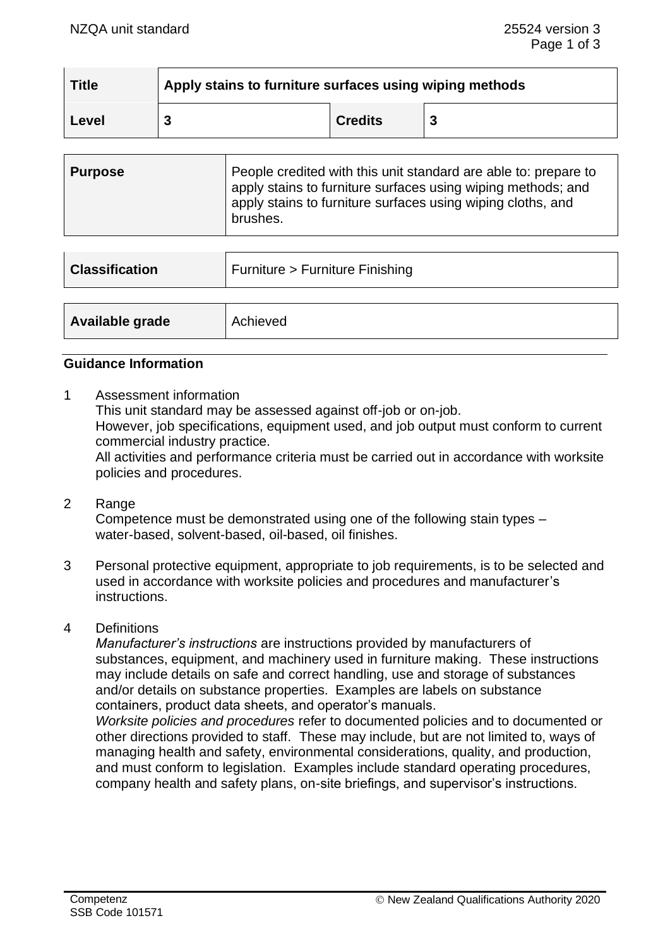| Title   | Apply stains to furniture surfaces using wiping methods |                |  |
|---------|---------------------------------------------------------|----------------|--|
| ∣ Level |                                                         | <b>Credits</b> |  |

| <b>Purpose</b> | People credited with this unit standard are able to: prepare to<br>apply stains to furniture surfaces using wiping methods; and<br>apply stains to furniture surfaces using wiping cloths, and<br>brushes. |
|----------------|------------------------------------------------------------------------------------------------------------------------------------------------------------------------------------------------------------|
|                |                                                                                                                                                                                                            |

| <b>Classification</b> | Furniture > Furniture Finishing |
|-----------------------|---------------------------------|
|                       |                                 |
| Available grade       | Achieved                        |

#### **Guidance Information**

1 Assessment information

This unit standard may be assessed against off-job or on-job.

However, job specifications, equipment used, and job output must conform to current commercial industry practice.

All activities and performance criteria must be carried out in accordance with worksite policies and procedures.

- 2 Range Competence must be demonstrated using one of the following stain types – water-based, solvent-based, oil-based, oil finishes.
- 3 Personal protective equipment, appropriate to job requirements, is to be selected and used in accordance with worksite policies and procedures and manufacturer's instructions.
- 4 Definitions

*Manufacturer's instructions* are instructions provided by manufacturers of substances, equipment, and machinery used in furniture making. These instructions may include details on safe and correct handling, use and storage of substances and/or details on substance properties. Examples are labels on substance containers, product data sheets, and operator's manuals.

*Worksite policies and procedures* refer to documented policies and to documented or other directions provided to staff. These may include, but are not limited to, ways of managing health and safety, environmental considerations, quality, and production, and must conform to legislation. Examples include standard operating procedures, company health and safety plans, on-site briefings, and supervisor's instructions.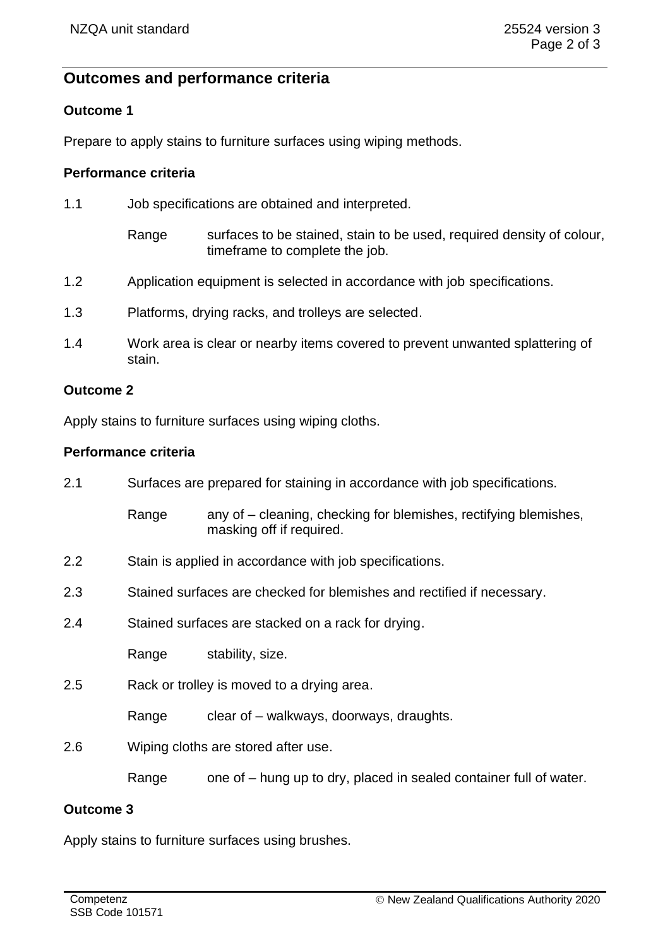# **Outcomes and performance criteria**

#### **Outcome 1**

Prepare to apply stains to furniture surfaces using wiping methods.

# **Performance criteria**

| 1.1 | Job specifications are obtained and interpreted.                                                                 |  |
|-----|------------------------------------------------------------------------------------------------------------------|--|
|     | surfaces to be stained, stain to be used, required density of colour,<br>Range<br>timeframe to complete the job. |  |
| 1.2 | Application equipment is selected in accordance with job specifications.                                         |  |
| 1.3 | Platforms, drying racks, and trolleys are selected.                                                              |  |
| 1.4 | Work area is clear or nearby items covered to prevent unwanted splattering of<br>stain.                          |  |

#### **Outcome 2**

Apply stains to furniture surfaces using wiping cloths.

# **Performance criteria**

| 2.1 | Surfaces are prepared for staining in accordance with job specifications. |                                                                                              |  |
|-----|---------------------------------------------------------------------------|----------------------------------------------------------------------------------------------|--|
|     | Range                                                                     | any of – cleaning, checking for blemishes, rectifying blemishes,<br>masking off if required. |  |
| 2.2 | Stain is applied in accordance with job specifications.                   |                                                                                              |  |
| 2.3 | Stained surfaces are checked for blemishes and rectified if necessary.    |                                                                                              |  |
| 2.4 | Stained surfaces are stacked on a rack for drying.                        |                                                                                              |  |
|     | Range                                                                     | stability, size.                                                                             |  |
| 2.5 | Rack or trolley is moved to a drying area.                                |                                                                                              |  |
|     | Range                                                                     | clear of – walkways, doorways, draughts.                                                     |  |
| 2.6 | Wiping cloths are stored after use.                                       |                                                                                              |  |
|     | Range                                                                     | one of – hung up to dry, placed in sealed container full of water.                           |  |
|     |                                                                           |                                                                                              |  |

## **Outcome 3**

Apply stains to furniture surfaces using brushes.